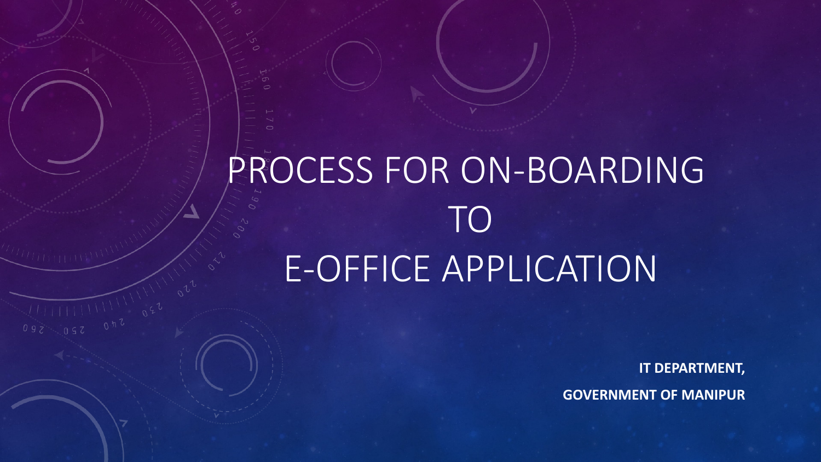## PROCESS FOR ON-BOARDING TO E-OFFICE APPLICATION

**IT DEPARTMENT, GOVERNMENT OF MANIPUR**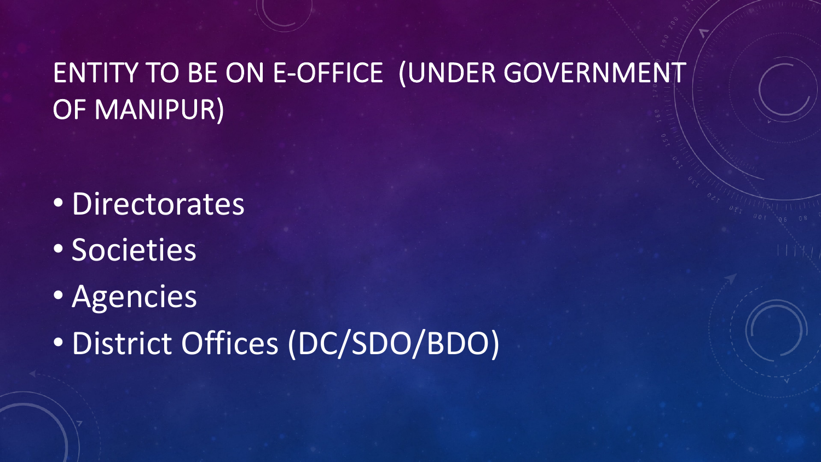#### ENTITY TO BE ON E-OFFICE (UNDER GOVERNMENT OF MANIPUR)

- Directorates
- Societies
- Agencies
- District Offices (DC/SDO/BDO)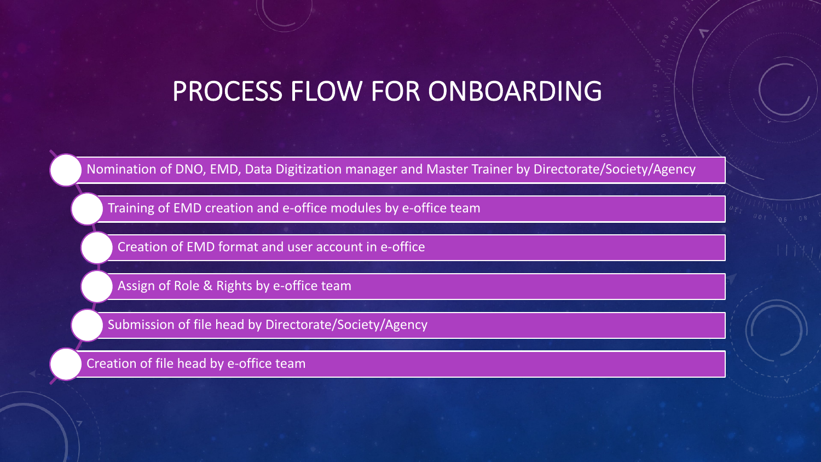#### PROCESS FLOW FOR ONBOARDING

Nomination of DNO, EMD, Data Digitization manager and Master Trainer by Directorate/Society/Agency

Training of EMD creation and e-office modules by e-office team

Creation of EMD format and user account in e-office

Assign of Role & Rights by e-office team

Submission of file head by Directorate/Society/Agency

Creation of file head by e-office team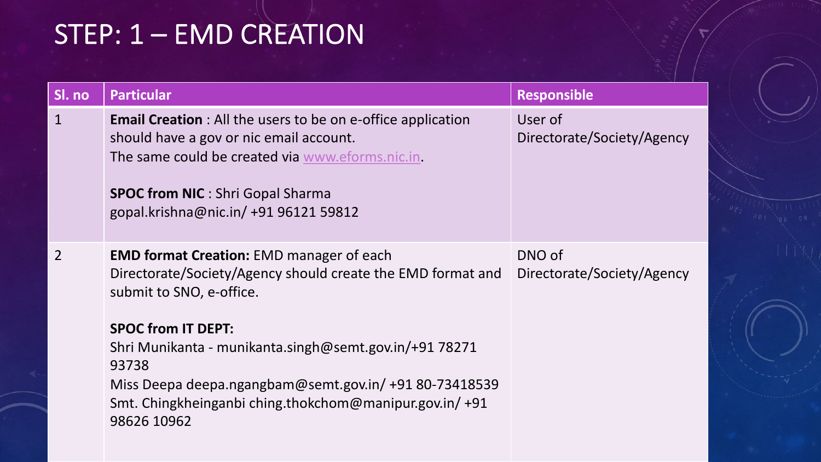## STEP: 1 – EMD CREATION

| <b>Particular</b>                                                                                                                                                                                                                                     |                           |
|-------------------------------------------------------------------------------------------------------------------------------------------------------------------------------------------------------------------------------------------------------|---------------------------|
| <b>Email Creation:</b> All the users to be on e-office application<br>should have a gov or nic email account.<br>The same could be created via www.eforms.nic.in.<br><b>SPOC from NIC: Shri Gopal Sharma</b><br>gopal.krishna@nic.in/ +91 96121 59812 |                           |
| <b>EMD format Creation: EMD manager of each</b><br>Directorate/Society/Agency should create the EMD format and<br>submit to SNO, e-office.                                                                                                            |                           |
| Shri Munikanta - munikanta.singh@semt.gov.in/+91 78271<br>93738<br>Miss Deepa deepa.ngangbam@semt.gov.in/ +91 80-73418539<br>Smt. Chingkheinganbi ching.thokchom@manipur.gov.in/+91<br>98626 10962                                                    |                           |
|                                                                                                                                                                                                                                                       | <b>SPOC from IT DEPT:</b> |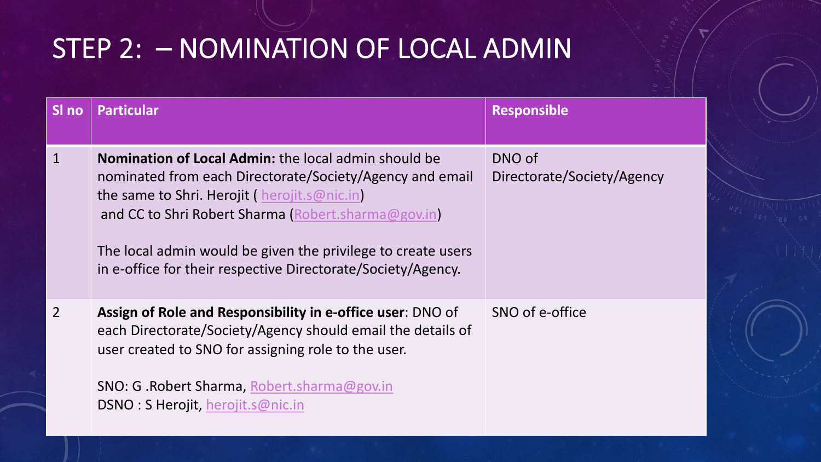## STEP 2: - NOMINATION OF LOCAL ADI

| SI no          | <b>Particular</b>                                                                                                                                                                                                                                                                                                                                       | <b>Resp</b>                |
|----------------|---------------------------------------------------------------------------------------------------------------------------------------------------------------------------------------------------------------------------------------------------------------------------------------------------------------------------------------------------------|----------------------------|
| $\mathbf{1}$   | Nomination of Local Admin: the local admin should be<br>nominated from each Directorate/Society/Agency and email<br>the same to Shri. Herojit (herojit.s@nic.in)<br>and CC to Shri Robert Sharma (Robert.sharma@gov.in)<br>The local admin would be given the privilege to create users<br>in e-office for their respective Directorate/Society/Agency. | <b>DNO</b><br><b>Dired</b> |
| $\overline{2}$ | Assign of Role and Responsibility in e-office user: DNO of<br>each Directorate/Society/Agency should email the details of<br>user created to SNO for assigning role to the user.<br>SNO: G.Robert Sharma, Robert.sharma@gov.in<br>DSNO: S Herojit, herojit.s@nic.in                                                                                     | <b>SNO</b>                 |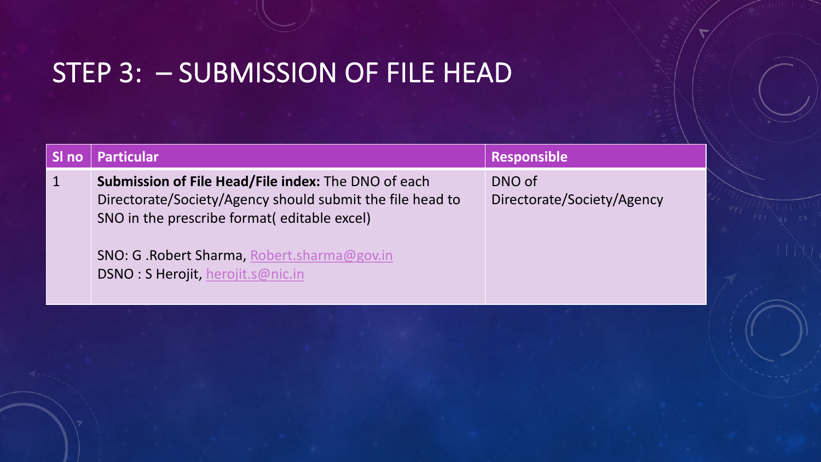#### STEP 3: - S[UBMISSIO](mailto:herojit.s@nic.in)N OF FILE HEAD

| <u>SI no </u> | <b>Particular</b>                                                                                                                                                                                                                                                  | <b>Resp</b>                |
|---------------|--------------------------------------------------------------------------------------------------------------------------------------------------------------------------------------------------------------------------------------------------------------------|----------------------------|
|               | <b>Submission of File Head/File index:</b> The DNO of each<br>Directorate/Society/Agency should submit the file head to<br>SNO in the prescribe format (editable excel)<br><b>SNO: G. Robert Sharma, Robert.sharma@gov.in</b><br>DSNO: S Herojit, herojit.s@nic.in | <b>DNO</b><br><b>Direc</b> |
|               |                                                                                                                                                                                                                                                                    |                            |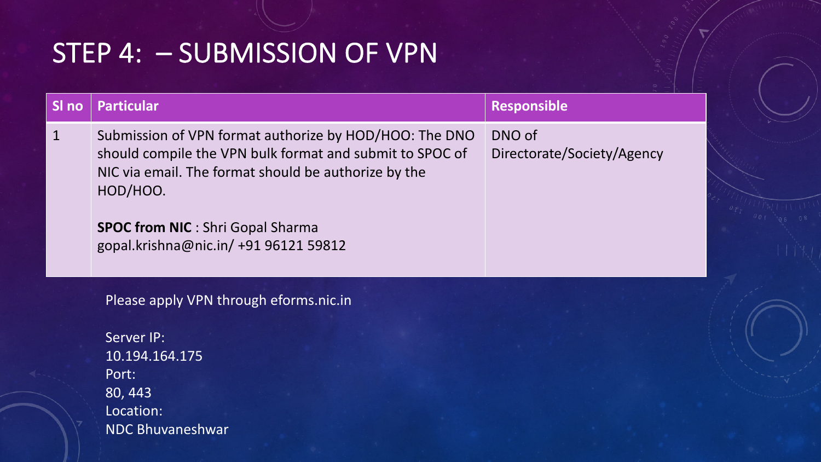#### STEP 4: – SUBMISSION OF VPN

| SI no       | <b>Particular</b>                                                                                                                                                                                                                                                           | <b>Responsible</b>                   |
|-------------|-----------------------------------------------------------------------------------------------------------------------------------------------------------------------------------------------------------------------------------------------------------------------------|--------------------------------------|
| $\mathbf 1$ | Submission of VPN format authorize by HOD/HOO: The DNO<br>should compile the VPN bulk format and submit to SPOC of<br>NIC via email. The format should be authorize by the<br>HOD/HOO.<br><b>SPOC from NIC</b> : Shri Gopal Sharma<br>gopal.krishna@nic.in/ +91 96121 59812 | DNO of<br>Directorate/Society/Agency |
|             | Please apply VPN through eforms.nic.in                                                                                                                                                                                                                                      |                                      |
|             | Server IP:                                                                                                                                                                                                                                                                  |                                      |
|             | 10.194.164.175                                                                                                                                                                                                                                                              |                                      |
|             | Port:                                                                                                                                                                                                                                                                       |                                      |
|             | 80, 443                                                                                                                                                                                                                                                                     |                                      |
|             | Location:                                                                                                                                                                                                                                                                   |                                      |
|             | <b>NDC Bhuvaneshwar</b>                                                                                                                                                                                                                                                     |                                      |